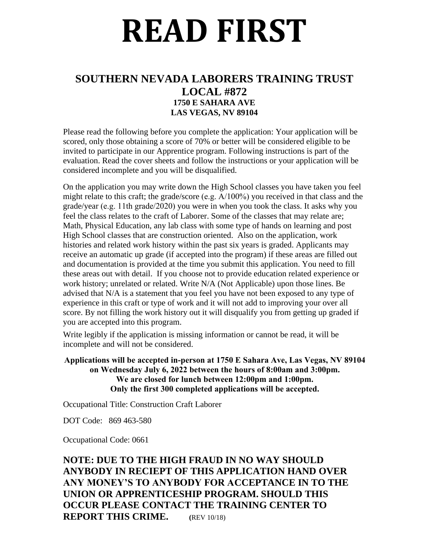# **READ FIRST**

# **SOUTHERN NEVADA LABORERS TRAINING TRUST LOCAL #872 1750 E SAHARA AVE LAS VEGAS, NV 89104**

Please read the following before you complete the application: Your application will be scored, only those obtaining a score of 70% or better will be considered eligible to be invited to participate in our Apprentice program. Following instructions is part of the evaluation. Read the cover sheets and follow the instructions or your application will be considered incomplete and you will be disqualified.

On the application you may write down the High School classes you have taken you feel might relate to this craft; the grade/score (e.g. A/100%) you received in that class and the grade/year (e.g. 11th grade/2020) you were in when you took the class. It asks why you feel the class relates to the craft of Laborer. Some of the classes that may relate are; Math, Physical Education, any lab class with some type of hands on learning and post High School classes that are construction oriented. Also on the application, work histories and related work history within the past six years is graded. Applicants may receive an automatic up grade (if accepted into the program) if these areas are filled out and documentation is provided at the time you submit this application. You need to fill these areas out with detail. If you choose not to provide education related experience or work history; unrelated or related. Write N/A (Not Applicable) upon those lines. Be advised that N/A is a statement that you feel you have not been exposed to any type of experience in this craft or type of work and it will not add to improving your over all score. By not filling the work history out it will disqualify you from getting up graded if you are accepted into this program.

Write legibly if the application is missing information or cannot be read, it will be incomplete and will not be considered.

#### **Applications will be accepted in-person at 1750 E Sahara Ave, Las Vegas, NV 89104 on Wednesday July 6, 2022 between the hours of 8:00am and 3:00pm. We are closed for lunch between 12:00pm and 1:00pm. Only the first 300 completed applications will be accepted.**

Occupational Title: Construction Craft Laborer

DOT Code: 869 463-580

Occupational Code: 0661

## **NOTE: DUE TO THE HIGH FRAUD IN NO WAY SHOULD ANYBODY IN RECIEPT OF THIS APPLICATION HAND OVER ANY MONEY'S TO ANYBODY FOR ACCEPTANCE IN TO THE UNION OR APPRENTICESHIP PROGRAM. SHOULD THIS OCCUR PLEASE CONTACT THE TRAINING CENTER TO REPORT THIS CRIME. (**REV 10/18)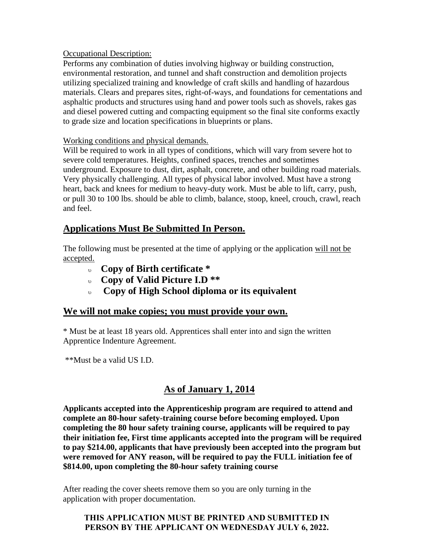#### Occupational Description:

Performs any combination of duties involving highway or building construction, environmental restoration, and tunnel and shaft construction and demolition projects utilizing specialized training and knowledge of craft skills and handling of hazardous materials. Clears and prepares sites, right-of-ways, and foundations for cementations and asphaltic products and structures using hand and power tools such as shovels, rakes gas and diesel powered cutting and compacting equipment so the final site conforms exactly to grade size and location specifications in blueprints or plans.

#### Working conditions and physical demands.

Will be required to work in all types of conditions, which will vary from severe hot to severe cold temperatures. Heights, confined spaces, trenches and sometimes underground. Exposure to dust, dirt, asphalt, concrete, and other building road materials. Very physically challenging. All types of physical labor involved. Must have a strong heart, back and knees for medium to heavy-duty work. Must be able to lift, carry, push, or pull 30 to 100 lbs. should be able to climb, balance, stoop, kneel, crouch, crawl, reach and feel.

### **Applications Must Be Submitted In Person.**

The following must be presented at the time of applying or the application will not be accepted.

- **Copy of Birth certificate \***
- **Copy of Valid Picture I.D \*\***
- **Copy of High School diploma or its equivalent**

#### **We will not make copies; you must provide your own.**

\* Must be at least 18 years old. Apprentices shall enter into and sign the written Apprentice Indenture Agreement.

\*\*Must be a valid US I.D.

# **As of January 1, 2014**

**Applicants accepted into the Apprenticeship program are required to attend and complete an 80-hour safety-training course before becoming employed. Upon completing the 80 hour safety training course, applicants will be required to pay their initiation fee, First time applicants accepted into the program will be required to pay \$214.00, applicants that have previously been accepted into the program but were removed for ANY reason, will be required to pay the FULL initiation fee of \$814.00, upon completing the 80-hour safety training course**

After reading the cover sheets remove them so you are only turning in the application with proper documentation.

**THIS APPLICATION MUST BE PRINTED AND SUBMITTED IN PERSON BY THE APPLICANT ON WEDNESDAY JULY 6, 2022.**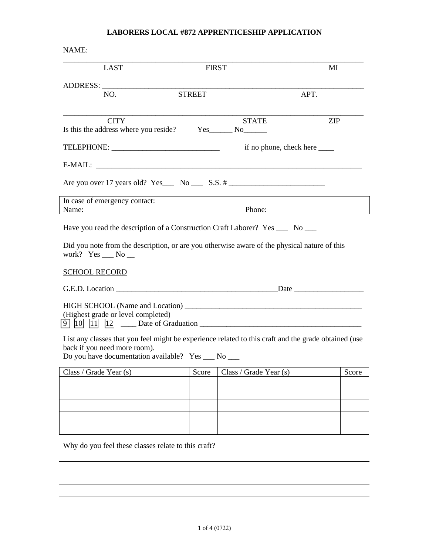#### **LABORERS LOCAL #872 APPRENTICESHIP APPLICATION**

| NAME:                                                                                                                                                                                    |               |                                  |            |
|------------------------------------------------------------------------------------------------------------------------------------------------------------------------------------------|---------------|----------------------------------|------------|
| LAST                                                                                                                                                                                     | <b>FIRST</b>  |                                  | MI         |
|                                                                                                                                                                                          |               |                                  |            |
| NO.                                                                                                                                                                                      | <b>STREET</b> |                                  | APT.       |
| <b>CITY</b><br>Is this the address where you reside? Yes_________ No________                                                                                                             |               | <b>STATE</b>                     | <b>ZIP</b> |
|                                                                                                                                                                                          |               | if no phone, check here ________ |            |
|                                                                                                                                                                                          |               |                                  |            |
| Are you over 17 years old? Yes $\_\_$ No $\_\_$ S.S. #                                                                                                                                   |               |                                  |            |
| In case of emergency contact:<br>Name:                                                                                                                                                   |               | <u>Phone:</u>                    |            |
| Have you read the description of a Construction Craft Laborer? Yes _____ No ____                                                                                                         |               |                                  |            |
| Did you note from the description, or are you otherwise aware of the physical nature of this<br>work? $Yes \_\_No \_\_$                                                                  |               |                                  |            |
| <b>SCHOOL RECORD</b>                                                                                                                                                                     |               |                                  |            |
|                                                                                                                                                                                          |               |                                  |            |
| (Highest grade or level completed)                                                                                                                                                       |               |                                  |            |
| List any classes that you feel might be experience related to this craft and the grade obtained (use<br>back if you need more room).<br>Do you have documentation available? Yes __ No _ |               |                                  |            |
| Class / Grade Year $(s)$                                                                                                                                                                 | Score         | Class / Grade Year (s)           | Score      |
|                                                                                                                                                                                          |               |                                  |            |
|                                                                                                                                                                                          |               |                                  |            |
|                                                                                                                                                                                          |               |                                  |            |
|                                                                                                                                                                                          |               |                                  |            |

Why do you feel these classes relate to this craft?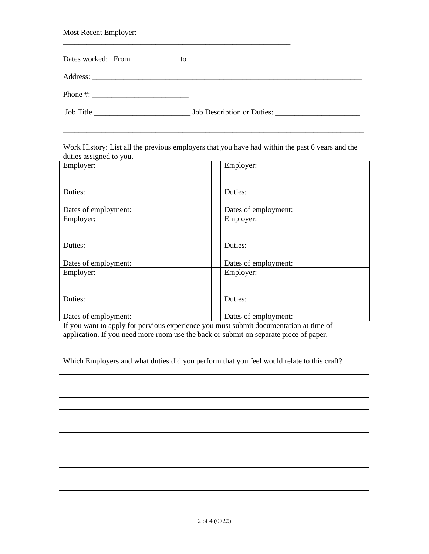| Most Recent Employer:                                                                                                                                                                                                                                                                                  |  |
|--------------------------------------------------------------------------------------------------------------------------------------------------------------------------------------------------------------------------------------------------------------------------------------------------------|--|
|                                                                                                                                                                                                                                                                                                        |  |
|                                                                                                                                                                                                                                                                                                        |  |
| Phone #: $\frac{1}{2}$ = $\frac{1}{2}$ = $\frac{1}{2}$ = $\frac{1}{2}$ = $\frac{1}{2}$ = $\frac{1}{2}$ = $\frac{1}{2}$ = $\frac{1}{2}$ = $\frac{1}{2}$ = $\frac{1}{2}$ = $\frac{1}{2}$ = $\frac{1}{2}$ = $\frac{1}{2}$ = $\frac{1}{2}$ = $\frac{1}{2}$ = $\frac{1}{2}$ = $\frac{1}{2}$ = $\frac{1}{2}$ |  |
|                                                                                                                                                                                                                                                                                                        |  |

Work History: List all the previous employers that you have had within the past 6 years and the duties assigned to you.

\_\_\_\_\_\_\_\_\_\_\_\_\_\_\_\_\_\_\_\_\_\_\_\_\_\_\_\_\_\_\_\_\_\_\_\_\_\_\_\_\_\_\_\_\_\_\_\_\_\_\_\_\_\_\_\_\_\_\_\_\_\_\_\_\_\_\_\_\_\_\_\_\_\_\_\_\_\_

| ັ                    |                      |
|----------------------|----------------------|
| Employer:            | Employer:            |
|                      |                      |
|                      |                      |
| Duties:              | Duties:              |
| Dates of employment: | Dates of employment: |
| Employer:            | Employer:            |
|                      |                      |
| Duties:              | Duties:              |
|                      |                      |
| Dates of employment: | Dates of employment: |
| Employer:            | Employer:            |
|                      |                      |
| Duties:              | Duties:              |
|                      |                      |
| Dates of employment: | Dates of employment: |

If you want to apply for pervious experience you must submit documentation at time of application. If you need more room use the back or submit on separate piece of paper.

Which Employers and what duties did you perform that you feel would relate to this craft?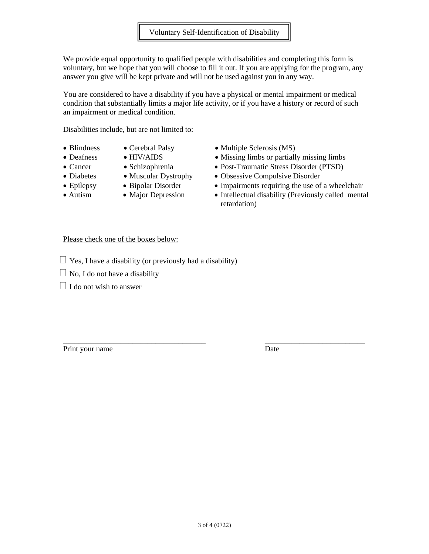We provide equal opportunity to qualified people with disabilities and completing this form is voluntary, but we hope that you will choose to fill it out. If you are applying for the program, any answer you give will be kept private and will not be used against you in any way.

You are considered to have a disability if you have a physical or mental impairment or medical condition that substantially limits a major life activity, or if you have a history or record of such an impairment or medical condition.

Disabilities include, but are not limited to:

- Blindness Cerebral Palsy Multiple Sclerosis (MS)
	-
- 
- 
- 
- 
- 
- 
- 
- 
- Deafness HIV/AIDS Missing limbs or partially missing limbs
- Cancer Schizophrenia Post-Traumatic Stress Disorder (PTSD)
- Diabetes Muscular Dystrophy Obsessive Compulsive Disorder
- Epilepsy Bipolar Disorder Impairments requiring the use of a wheelchair
- Autism Major Depression Intellectual disability (Previously called mental retardation)

#### Please check one of the boxes below:

- $\Box$  Yes, I have a disability (or previously had a disability)
- $\Box$  No, I do not have a disability
- $\Box$  I do not wish to answer

Print your name Date

\_\_\_\_\_\_\_\_\_\_\_\_\_\_\_\_\_\_\_\_\_\_\_\_\_\_\_\_\_\_\_\_\_\_\_\_\_ \_\_\_\_\_\_\_\_\_\_\_\_\_\_\_\_\_\_\_\_\_\_\_\_\_\_